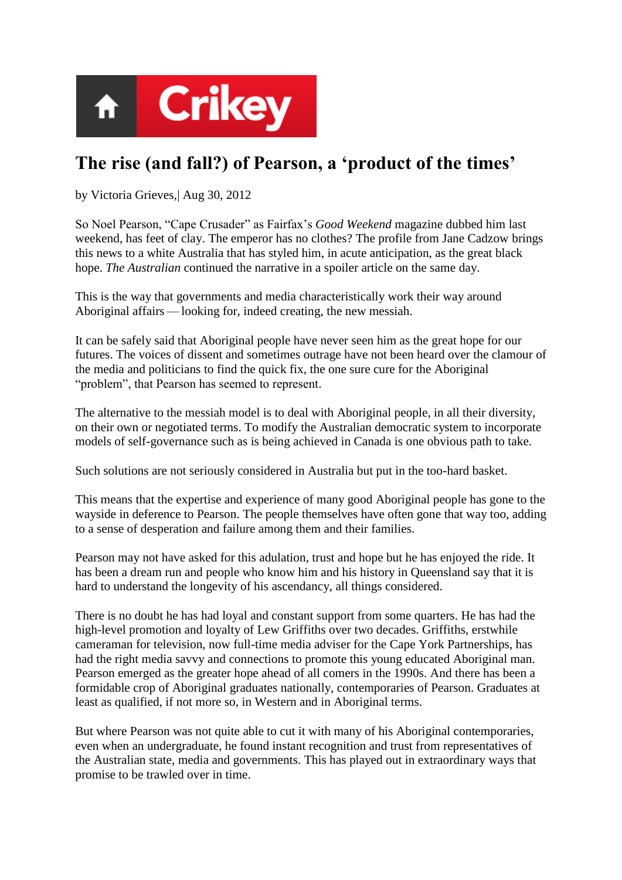

## **The rise (and fall?) of Pearson, a 'product of the times'**

by Victoria Grieves,| Aug 30, 2012

So Noel Pearson, "Cape Crusader" as Fairfax's *Good Weekend* magazine dubbed him last weekend, has feet of clay. The emperor has no clothes? The profile from Jane Cadzow brings this news to a white Australia that has styled him, in acute anticipation, as the great black hope. *The Australian* continued the narrative in a spoiler article on the same day.

This is the way that governments and media characteristically work their way around Aboriginal affairs — looking for, indeed creating, the new messiah.

It can be safely said that Aboriginal people have never seen him as the great hope for our futures. The voices of dissent and sometimes outrage have not been heard over the clamour of the media and politicians to find the quick fix, the one sure cure for the Aboriginal "problem", that Pearson has seemed to represent.

The alternative to the messiah model is to deal with Aboriginal people, in all their diversity, on their own or negotiated terms. To modify the Australian democratic system to incorporate models of self-governance such as is being achieved in Canada is one obvious path to take.

Such solutions are not seriously considered in Australia but put in the too-hard basket.

This means that the expertise and experience of many good Aboriginal people has gone to the wayside in deference to Pearson. The people themselves have often gone that way too, adding to a sense of desperation and failure among them and their families.

Pearson may not have asked for this adulation, trust and hope but he has enjoyed the ride. It has been a dream run and people who know him and his history in Queensland say that it is hard to understand the longevity of his ascendancy, all things considered.

There is no doubt he has had loyal and constant support from some quarters. He has had the high-level promotion and loyalty of Lew Griffiths over two decades. Griffiths, erstwhile cameraman for television, now full-time media adviser for the Cape York Partnerships, has had the right media savvy and connections to promote this young educated Aboriginal man. Pearson emerged as the greater hope ahead of all comers in the 1990s. And there has been a formidable crop of Aboriginal graduates nationally, contemporaries of Pearson. Graduates at least as qualified, if not more so, in Western and in Aboriginal terms.

But where Pearson was not quite able to cut it with many of his Aboriginal contemporaries, even when an undergraduate, he found instant recognition and trust from representatives of the Australian state, media and governments. This has played out in extraordinary ways that promise to be trawled over in time.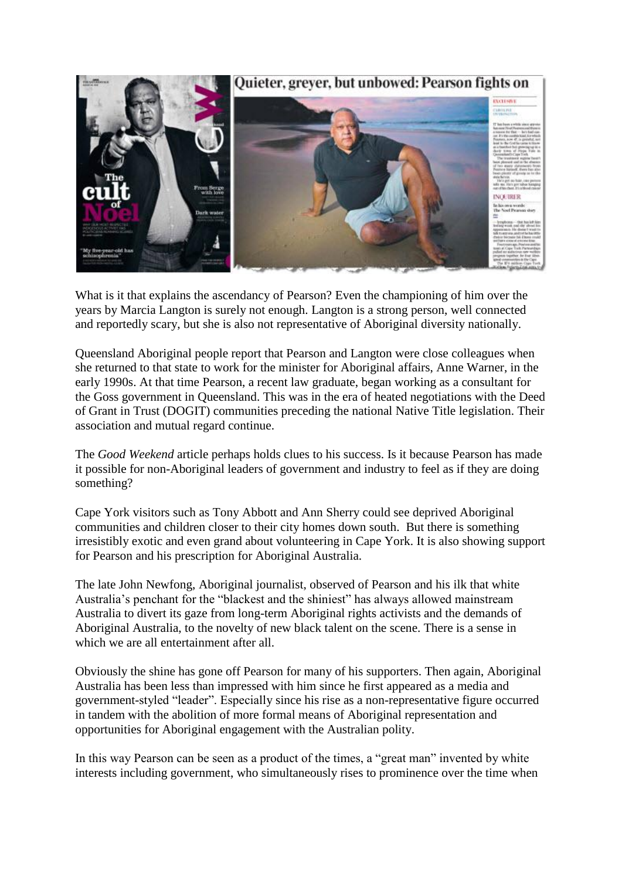

What is it that explains the ascendancy of Pearson? Even the championing of him over the years by Marcia Langton is surely not enough. Langton is a strong person, well connected and reportedly scary, but she is also not representative of Aboriginal diversity nationally.

Queensland Aboriginal people report that Pearson and Langton were close colleagues when she returned to that state to work for the minister for Aboriginal affairs, Anne Warner, in the early 1990s. At that time Pearson, a recent law graduate, began working as a consultant for the Goss government in Queensland. This was in the era of heated negotiations with the Deed of Grant in Trust (DOGIT) communities preceding the national Native Title legislation. Their association and mutual regard continue.

The *Good Weekend* article perhaps holds clues to his success. Is it because Pearson has made it possible for non-Aboriginal leaders of government and industry to feel as if they are doing something?

Cape York visitors such as Tony Abbott and Ann Sherry could see deprived Aboriginal communities and children closer to their city homes down south. But there is something irresistibly exotic and even grand about volunteering in Cape York. It is also showing support for Pearson and his prescription for Aboriginal Australia.

The late John Newfong, Aboriginal journalist, observed of Pearson and his ilk that white Australia's penchant for the "blackest and the shiniest" has always allowed mainstream Australia to divert its gaze from long-term Aboriginal rights activists and the demands of Aboriginal Australia, to the novelty of new black talent on the scene. There is a sense in which we are all entertainment after all.

Obviously the shine has gone off Pearson for many of his supporters. Then again, Aboriginal Australia has been less than impressed with him since he first appeared as a media and government-styled "leader". Especially since his rise as a non-representative figure occurred in tandem with the abolition of more formal means of Aboriginal representation and opportunities for Aboriginal engagement with the Australian polity.

In this way Pearson can be seen as a product of the times, a "great man" invented by white interests including government, who simultaneously rises to prominence over the time when